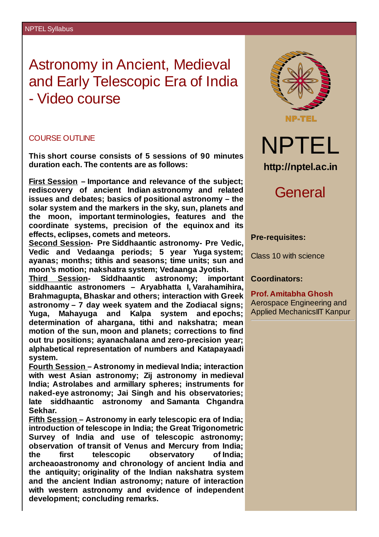# Astronomy in Ancient, Medieval and Early Telescopic Era of India - Video course

### COURSE OUTLINE

**This short course consists of 5 sessions of 90 minutes duration each. The contents are as follows:**

**First Session – Importance and relevance of the subject; rediscovery of ancient Indian astronomy and related issues and debates; basics of positional astronomy – the solar system and the markers in the sky, sun, planets and the moon, important terminologies, features and the coordinate systems, precision of the equinox and its effects, eclipses, comets and meteors.**

**Second Session- Pre Siddhaantic astronomy- Pre Vedic, Vedic and Vedaanga periods; 5 year Yuga system; ayanas; months; tithis and seasons; time units; sun and moon's motion; nakshatra system; Vedaanga Jyotish.**

**Third Session- Siddhaantic astronomy; important siddhaantic astronomers – Aryabhatta I, Varahamihira, Brahmagupta, Bhaskar and others; interaction with Greek astronomy – 7 day week syatem and the Zodiacal signs; Yuga, Mahayuga and Kalpa system and epochs; determination of ahargana, tithi and nakshatra; mean motion of the sun, moon and planets; corrections to find out tru positions; ayanachalana and zero-precision year; alphabetical representation of numbers and Katapayaadi system.**

**Fourth Session – Astronomy in medieval India; interaction with west Asian astronomy; Zij astronomy in medieval India; Astrolabes and armillary spheres; instruments for naked-eye astronomy; Jai Singh and his observatories; late siddhaantic astronomy and Samanta Chgandra Sekhar.**

**Fifth Session – Astronomy in early telescopic era of India; introduction of telescope in India; the Great Trigonometric Survey of India and use of telescopic astronomy; observation of transit of Venus and Mercury from India; the first telescopic observatory of India; archeaoastronomy and chronology of ancient India and the antiquity; originality of the Indian nakshatra system and the ancient Indian astronomy; nature of interaction with western astronomy and evidence of independent development; concluding remarks.**



General

#### **Pre-requisites:**

Class 10 with science

#### **Coordinators:**

**Prof. Amitabha Ghosh** Aerospace Engineering and Applied MechanicsIIT Kanpur